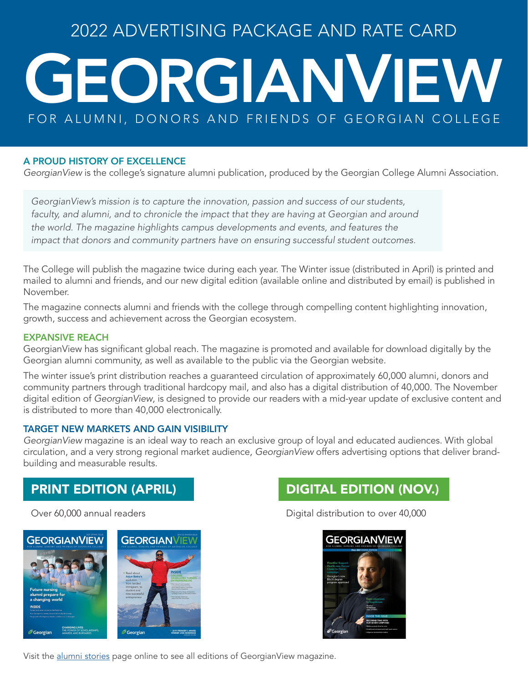### 2022 ADVERTISING PACKAGE AND RATE CARD

# G EORGIANVIEW FOR ALUMNI, DONORS AND FRIENDS OF GEORGIAN COLLEGE

#### A PROUD HISTORY OF EXCELLENCE

*GeorgianView* is the college's signature alumni publication, produced by the Georgian College Alumni Association.

*GeorgianView's mission is to capture the innovation, passion and success of our students,*  faculty, and alumni, and to chronicle the impact that they are having at Georgian and around *the world. The magazine highlights campus developments and events, and features the impact that donors and community partners have on ensuring successful student outcomes.*

The College will publish the magazine twice during each year. The Winter issue (distributed in April) is printed and mailed to alumni and friends, and our new digital edition (available online and distributed by email) is published in November.

The magazine connects alumni and friends with the college through compelling content highlighting innovation, growth, success and achievement across the Georgian ecosystem.

#### EXPANSIVE REACH

GeorgianView has significant global reach. The magazine is promoted and available for download digitally by the Georgian alumni community, as well as available to the public via the Georgian website.

The winter issue's print distribution reaches a guaranteed circulation of approximately 60,000 alumni, donors and community partners through traditional hardcopy mail, and also has a digital distribution of 40,000. The November digital edition of *GeorgianView*, is designed to provide our readers with a mid-year update of exclusive content and is distributed to more than 40,000 electronically.

#### TARGET NEW MARKETS AND GAIN VISIBILITY

*GeorgianView* magazine is an ideal way to reach an exclusive group of loyal and educated audiences. With global circulation, and a very strong regional market audience, *GeorgianView* offers advertising options that deliver brandbuilding and measurable results.

### PRINT EDITION (APRIL)

Over 60,000 annual readers





Digital distribution to over 40,000



Visit the [alumni stories](https://www.georgiancollege.ca/community-alumni/alumni/stories/) page online to see all editions of GeorgianView magazine.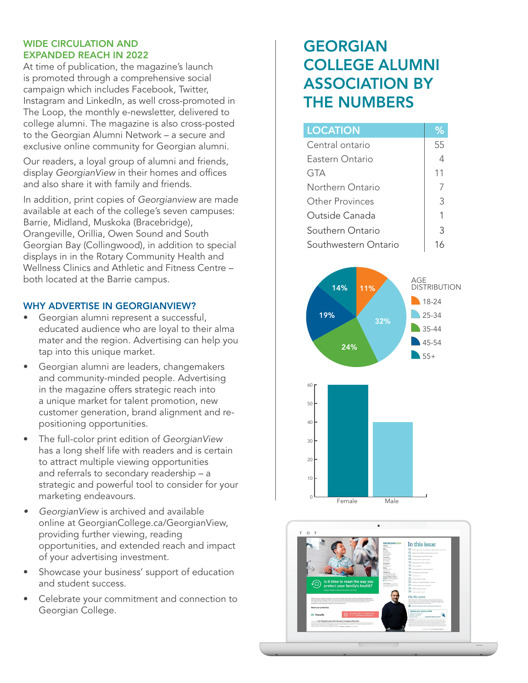### WIDE CIRCULATION AND EXPANDED REACH IN 2022

At time of publication, the magazine's launch is promoted through a comprehensive social campaign which includes Facebook, Twitter, Instagram and LinkedIn, as well cross-promoted in The Loop, the monthly e-newsletter, delivered to college alumni. The magazine is also cross-posted to the Georgian Alumni Network – a secure and exclusive online community for Georgian alumni.

Our readers, a loyal group of alumni and friends, display *GeorgianView* in their homes and offices and also share it with family and friends.

In addition, print copies of *Georgianview* are made available at each of the college's seven campuses: Barrie, Midland, Muskoka (Bracebridge), Orangeville, Orillia, Owen Sound and South Georgian Bay (Collingwood), in addition to special displays in in the Rotary Community Health and Wellness Clinics and Athletic and Fitness Centre – both located at the Barrie campus.

### WHY ADVERTISE IN GEORGIANVIEW?

- Georgian alumni represent a successful, educated audience who are loyal to their alma mater and the region. Advertising can help you tap into this unique market.
- Georgian alumni are leaders, changemakers and community-minded people. Advertising in the magazine offers strategic reach into a unique market for talent promotion, new customer generation, brand alignment and repositioning opportunities.
- The full-color print edition of *GeorgianView* has a long shelf life with readers and is certain to attract multiple viewing opportunities and referrals to secondary readership – a strategic and powerful tool to consider for your marketing endeavours.
- *• GeorgianView* is archived and available online at [GeorgianCollege.ca/GeorgianView,](http://GeorgianCollege.ca/GeorgianView) providing further viewing, reading opportunities, and extended reach and impact of your advertising investment.
- Showcase your business' support of education and student success.
- Celebrate your commitment and connection to Georgian College.

### GEORGIAN COLLEGE ALUMNI ASSOCIATION BY THE NUMBERS

| <b>LOCATION</b>      | 96 |
|----------------------|----|
| Central ontario      | 55 |
| Fastern Ontario      | 4  |
| gta                  | 11 |
| Northern Ontario     |    |
| Other Provinces      | 3  |
| Outside Canada       | 1  |
| Southern Ontario     | Κ  |
| Southwestern Ontario | 16 |